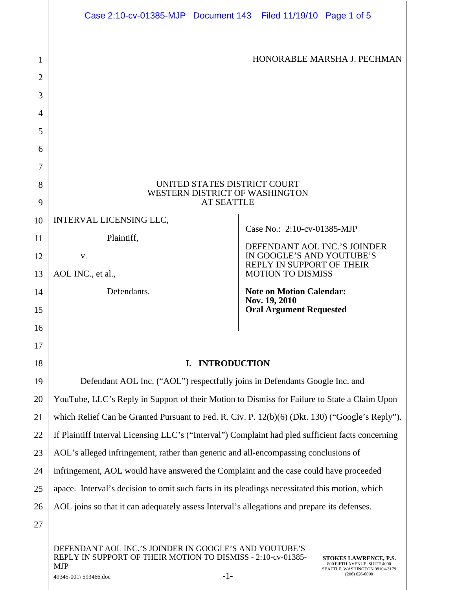|    | Case 2:10-cv-01385-MJP Document 143 Filed 11/19/10 Page 1 of 5                                    |                                                           |  |  |  |  |  |
|----|---------------------------------------------------------------------------------------------------|-----------------------------------------------------------|--|--|--|--|--|
| 1  |                                                                                                   | HONORABLE MARSHA J. PECHMAN                               |  |  |  |  |  |
| 2  |                                                                                                   |                                                           |  |  |  |  |  |
| 3  |                                                                                                   |                                                           |  |  |  |  |  |
| 4  |                                                                                                   |                                                           |  |  |  |  |  |
| 5  |                                                                                                   |                                                           |  |  |  |  |  |
| 6  |                                                                                                   |                                                           |  |  |  |  |  |
| 7  |                                                                                                   |                                                           |  |  |  |  |  |
| 8  | UNITED STATES DISTRICT COURT                                                                      |                                                           |  |  |  |  |  |
| 9  | WESTERN DISTRICT OF WASHINGTON<br><b>AT SEATTLE</b>                                               |                                                           |  |  |  |  |  |
| 10 | INTERVAL LICENSING LLC,                                                                           |                                                           |  |  |  |  |  |
| 11 | Plaintiff,                                                                                        | Case No.: 2:10-cv-01385-MJP                               |  |  |  |  |  |
| 12 | V.                                                                                                | DEFENDANT AOL INC.'S JOINDER<br>IN GOOGLE'S AND YOUTUBE'S |  |  |  |  |  |
| 13 | AOL INC., et al.,                                                                                 | REPLY IN SUPPORT OF THEIR<br><b>MOTION TO DISMISS</b>     |  |  |  |  |  |
| 14 | Defendants.                                                                                       | <b>Note on Motion Calendar:</b>                           |  |  |  |  |  |
| 15 | Nov. 19, 2010<br><b>Oral Argument Requested</b>                                                   |                                                           |  |  |  |  |  |
| 16 |                                                                                                   |                                                           |  |  |  |  |  |
| 17 |                                                                                                   |                                                           |  |  |  |  |  |
| 18 | <b>INTRODUCTION</b><br>I.                                                                         |                                                           |  |  |  |  |  |
| 19 | Defendant AOL Inc. ("AOL") respectfully joins in Defendants Google Inc. and                       |                                                           |  |  |  |  |  |
| 20 | YouTube, LLC's Reply in Support of their Motion to Dismiss for Failure to State a Claim Upon      |                                                           |  |  |  |  |  |
| 21 | which Relief Can be Granted Pursuant to Fed. R. Civ. P. 12(b)(6) (Dkt. 130) ("Google's Reply").   |                                                           |  |  |  |  |  |
| 22 | If Plaintiff Interval Licensing LLC's ("Interval") Complaint had pled sufficient facts concerning |                                                           |  |  |  |  |  |
| 23 | AOL's alleged infringement, rather than generic and all-encompassing conclusions of               |                                                           |  |  |  |  |  |
| 24 | infringement, AOL would have answered the Complaint and the case could have proceeded             |                                                           |  |  |  |  |  |
| 25 | apace. Interval's decision to omit such facts in its pleadings necessitated this motion, which    |                                                           |  |  |  |  |  |
| 26 | AOL joins so that it can adequately assess Interval's allegations and prepare its defenses.       |                                                           |  |  |  |  |  |
| 27 |                                                                                                   |                                                           |  |  |  |  |  |
|    | DEFENDANT AOL INC.'S JOINDER IN GOOGLE'S AND YOUTUBE'S                                            |                                                           |  |  |  |  |  |

REPLY IN SUPPORT OF THEIR MOTION TO DISMISS - 2:10-cv-01385- MJP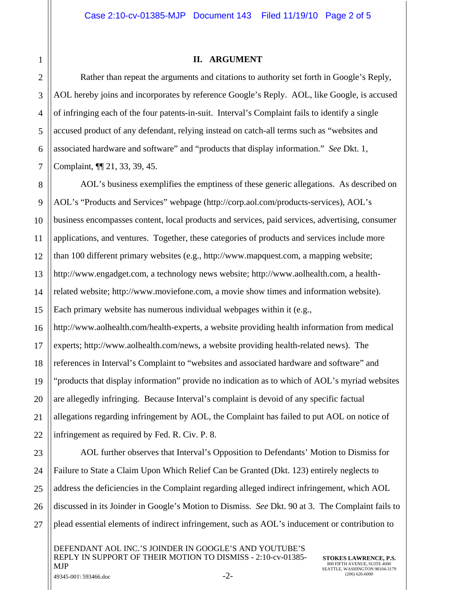## **II. ARGUMENT**

Rather than repeat the arguments and citations to authority set forth in Google's Reply, AOL hereby joins and incorporates by reference Google's Reply. AOL, like Google, is accused of infringing each of the four patents-in-suit. Interval's Complaint fails to identify a single accused product of any defendant, relying instead on catch-all terms such as "websites and associated hardware and software" and "products that display information." *See* Dkt. 1, Complaint, ¶¶ 21, 33, 39, 45.

AOL's business exemplifies the emptiness of these generic allegations. As described on AOL's "Products and Services" webpage (http://corp.aol.com/products-services), AOL's business encompasses content, local products and services, paid services, advertising, consumer applications, and ventures. Together, these categories of products and services include more than 100 different primary websites (e.g., http://www.mapquest.com, a mapping website; http://www.engadget.com, a technology news website; http://www.aolhealth.com, a healthrelated website; http://www.moviefone.com, a movie show times and information website). Each primary website has numerous individual webpages within it (e.g., http://www.aolhealth.com/health-experts, a website providing health information from medical

experts; http://www.aolhealth.com/news, a website providing health-related news). The references in Interval's Complaint to "websites and associated hardware and software" and "products that display information" provide no indication as to which of AOL's myriad websites are allegedly infringing. Because Interval's complaint is devoid of any specific factual allegations regarding infringement by AOL, the Complaint has failed to put AOL on notice of infringement as required by Fed. R. Civ. P. 8.

AOL further observes that Interval's Opposition to Defendants' Motion to Dismiss for Failure to State a Claim Upon Which Relief Can be Granted (Dkt. 123) entirely neglects to address the deficiencies in the Complaint regarding alleged indirect infringement, which AOL discussed in its Joinder in Google's Motion to Dismiss. *See* Dkt. 90 at 3. The Complaint fails to plead essential elements of indirect infringement, such as AOL's inducement or contribution to

DEFENDANT AOL INC.'S JOINDER IN GOOGLE'S AND YOUTUBE'S REPLY IN SUPPORT OF THEIR MOTION TO DISMISS - 2:10-cv-01385- MJP  $49345-001\backslash 593466.$ doc  $-2-$ 

1

2

3

4

5

6

7

8

9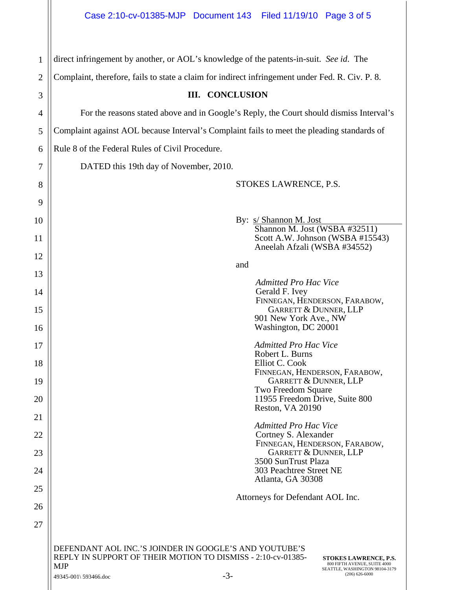| 1              | direct infringement by another, or AOL's knowledge of the patents-in-suit. See id. The                                                                                                                                                                                                |  |  |  |  |  |  |
|----------------|---------------------------------------------------------------------------------------------------------------------------------------------------------------------------------------------------------------------------------------------------------------------------------------|--|--|--|--|--|--|
| $\overline{2}$ | Complaint, therefore, fails to state a claim for indirect infringement under Fed. R. Civ. P. 8.                                                                                                                                                                                       |  |  |  |  |  |  |
| 3              | <b>III. CONCLUSION</b>                                                                                                                                                                                                                                                                |  |  |  |  |  |  |
| 4              | For the reasons stated above and in Google's Reply, the Court should dismiss Interval's                                                                                                                                                                                               |  |  |  |  |  |  |
| 5              | Complaint against AOL because Interval's Complaint fails to meet the pleading standards of                                                                                                                                                                                            |  |  |  |  |  |  |
| 6              | Rule 8 of the Federal Rules of Civil Procedure.                                                                                                                                                                                                                                       |  |  |  |  |  |  |
| 7              | DATED this 19th day of November, 2010.                                                                                                                                                                                                                                                |  |  |  |  |  |  |
| 8              | STOKES LAWRENCE, P.S.                                                                                                                                                                                                                                                                 |  |  |  |  |  |  |
| 9              |                                                                                                                                                                                                                                                                                       |  |  |  |  |  |  |
| 10             | By: s/ Shannon M. Jost<br>Shannon M. Jost (WSBA #32511)                                                                                                                                                                                                                               |  |  |  |  |  |  |
| 11             | Scott A.W. Johnson (WSBA #15543)<br>Aneelah Afzali (WSBA #34552)                                                                                                                                                                                                                      |  |  |  |  |  |  |
| 12             | and                                                                                                                                                                                                                                                                                   |  |  |  |  |  |  |
| 13             | <b>Admitted Pro Hac Vice</b>                                                                                                                                                                                                                                                          |  |  |  |  |  |  |
| 14             | Gerald F. Ivey<br>FINNEGAN, HENDERSON, FARABOW,                                                                                                                                                                                                                                       |  |  |  |  |  |  |
| 15             | <b>GARRETT &amp; DUNNER, LLP</b><br>901 New York Ave., NW                                                                                                                                                                                                                             |  |  |  |  |  |  |
| 16             | Washington, DC 20001                                                                                                                                                                                                                                                                  |  |  |  |  |  |  |
| 17<br>18       | <b>Admitted Pro Hac Vice</b><br>Robert L. Burns<br>Elliot C. Cook                                                                                                                                                                                                                     |  |  |  |  |  |  |
| 19             | FINNEGAN, HENDERSON, FARABOW,<br><b>GARRETT &amp; DUNNER, LLP</b>                                                                                                                                                                                                                     |  |  |  |  |  |  |
| 20             | Two Freedom Square<br>11955 Freedom Drive, Suite 800                                                                                                                                                                                                                                  |  |  |  |  |  |  |
| 21             | Reston, VA 20190                                                                                                                                                                                                                                                                      |  |  |  |  |  |  |
| 22             | <b>Admitted Pro Hac Vice</b><br>Cortney S. Alexander                                                                                                                                                                                                                                  |  |  |  |  |  |  |
| 23             | FINNEGAN, HENDERSON, FARABOW,<br><b>GARRETT &amp; DUNNER, LLP</b>                                                                                                                                                                                                                     |  |  |  |  |  |  |
| 24             | 3500 SunTrust Plaza<br>303 Peachtree Street NE                                                                                                                                                                                                                                        |  |  |  |  |  |  |
| 25             | Atlanta, GA 30308                                                                                                                                                                                                                                                                     |  |  |  |  |  |  |
| 26             | Attorneys for Defendant AOL Inc.                                                                                                                                                                                                                                                      |  |  |  |  |  |  |
| 27             |                                                                                                                                                                                                                                                                                       |  |  |  |  |  |  |
|                | DEFENDANT AOL INC.'S JOINDER IN GOOGLE'S AND YOUTUBE'S<br>REPLY IN SUPPORT OF THEIR MOTION TO DISMISS - 2:10-cv-01385-<br>STOKES LAWRENCE, P.S.<br>800 FIFTH AVENUE, SUITE 4000<br><b>MJP</b><br>SEATTLE, WASHINGTON 98104-3179<br>$(206)$ 626-6000<br>$-3-$<br>49345-001\ 593466.doc |  |  |  |  |  |  |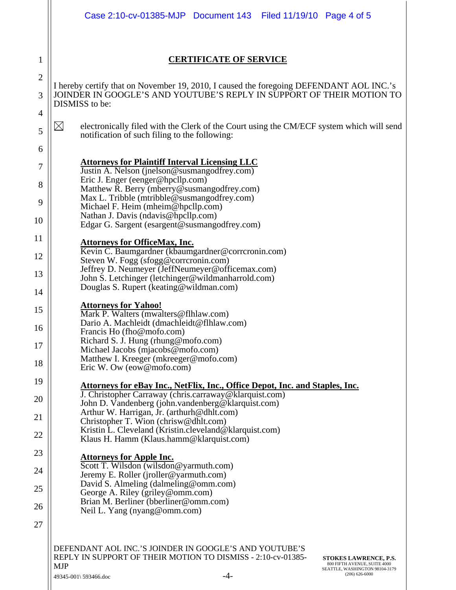|                     | Case 2:10-cv-01385-MJP Document 143   Filed 11/19/10   Page 4 of 5                                                                                                                                                                                                                                 |  |  |  |  |  |  |  |  |  |
|---------------------|----------------------------------------------------------------------------------------------------------------------------------------------------------------------------------------------------------------------------------------------------------------------------------------------------|--|--|--|--|--|--|--|--|--|
|                     |                                                                                                                                                                                                                                                                                                    |  |  |  |  |  |  |  |  |  |
| 1                   | <b>CERTIFICATE OF SERVICE</b>                                                                                                                                                                                                                                                                      |  |  |  |  |  |  |  |  |  |
| $\overline{c}$<br>3 | I hereby certify that on November 19, 2010, I caused the foregoing DEFENDANT AOL INC.'s<br>JOINDER IN GOOGLE'S AND YOUTUBE'S REPLY IN SUPPORT OF THEIR MOTION TO<br>DISMISS to be:                                                                                                                 |  |  |  |  |  |  |  |  |  |
| 4                   |                                                                                                                                                                                                                                                                                                    |  |  |  |  |  |  |  |  |  |
| 5                   | $\boxtimes$<br>electronically filed with the Clerk of the Court using the CM/ECF system which will send<br>notification of such filing to the following:                                                                                                                                           |  |  |  |  |  |  |  |  |  |
| 6                   |                                                                                                                                                                                                                                                                                                    |  |  |  |  |  |  |  |  |  |
| 7                   | <b>Attorneys for Plaintiff Interval Licensing LLC</b><br>Justin A. Nelson (jnelson@susmangodfrey.com)<br>Eric J. Enger (eenger@hpcllp.com)                                                                                                                                                         |  |  |  |  |  |  |  |  |  |
| 8<br>9              | Matthew R. Berry (mberry@susmangodfrey.com)<br>Max L. Tribble (mtribble@susmangodfrey.com)                                                                                                                                                                                                         |  |  |  |  |  |  |  |  |  |
| 10                  | Michael F. Heim (mheim@hpcllp.com)<br>Nathan J. Davis (ndavis@hpcllp.com)<br>Edgar G. Sargent (esargent@susmangodfrey.com)                                                                                                                                                                         |  |  |  |  |  |  |  |  |  |
| 11                  | <b>Attorneys for OfficeMax, Inc.</b>                                                                                                                                                                                                                                                               |  |  |  |  |  |  |  |  |  |
| 12                  | Kevin C. Baumgardner (kbaumgardner@corrcronin.com)<br>Steven W. Fogg (sfogg@corrcronin.com)                                                                                                                                                                                                        |  |  |  |  |  |  |  |  |  |
| 13                  | Jeffrey D. Neumeyer (JeffNeumeyer@officemax.com)<br>John S. Letchinger (letchinger@wildmanharrold.com)                                                                                                                                                                                             |  |  |  |  |  |  |  |  |  |
| 14                  | Douglas S. Rupert (keating@wildman.com)                                                                                                                                                                                                                                                            |  |  |  |  |  |  |  |  |  |
| 15                  | <b>Attorneys for Yahoo!</b><br>Mark P. Walters (mwalters@flhlaw.com)<br>Dario A. Machleidt (dmachleidt@flhlaw.com)<br>Francis Ho (fho@mofo.com)<br>Richard S. J. Hung (rhung@mofo.com)<br>Michael Jacobs (mjacobs@mofo.com)<br>Matthew I. Kreeger (mkreeger@mofo.com)<br>Eric W. Ow (eow@mofo.com) |  |  |  |  |  |  |  |  |  |
| 16<br>17            |                                                                                                                                                                                                                                                                                                    |  |  |  |  |  |  |  |  |  |
| 18                  |                                                                                                                                                                                                                                                                                                    |  |  |  |  |  |  |  |  |  |
| 19                  | <b>Attorneys for eBay Inc., NetFlix, Inc., Office Depot, Inc. and Staples, Inc.</b>                                                                                                                                                                                                                |  |  |  |  |  |  |  |  |  |
| 20                  | J. Christopher Carraway (chris.carraway@klarquist.com)<br>John D. Vandenberg (john.vandenberg@klarquist.com)                                                                                                                                                                                       |  |  |  |  |  |  |  |  |  |
| 21                  | Arthur W. Harrigan, Jr. (arthurh@dhlt.com)<br>Christopher T. Wion (chrisw@dhlt.com)                                                                                                                                                                                                                |  |  |  |  |  |  |  |  |  |
| 22                  | Kristin L. Cleveland (Kristin.cleveland@klarquist.com)<br>Klaus H. Hamm (Klaus.hamm@klarquist.com)                                                                                                                                                                                                 |  |  |  |  |  |  |  |  |  |
| 23                  | <b>Attorneys for Apple Inc.</b>                                                                                                                                                                                                                                                                    |  |  |  |  |  |  |  |  |  |
| 24                  | Scott T. Wilsdon (wilsdon@yarmuth.com)<br>Jeremy E. Roller (jroller@yarmuth.com)                                                                                                                                                                                                                   |  |  |  |  |  |  |  |  |  |
| 25                  | David S. Almeling (dalmeling@omm.com)<br>George A. Riley (griley@omm.com)                                                                                                                                                                                                                          |  |  |  |  |  |  |  |  |  |
| 26                  | Brian M. Berliner (bberliner@omm.com)<br>Neil L. Yang (nyang@omm.com)                                                                                                                                                                                                                              |  |  |  |  |  |  |  |  |  |
| 27                  |                                                                                                                                                                                                                                                                                                    |  |  |  |  |  |  |  |  |  |
|                     | DEFENDANT AOL INC.'S JOINDER IN GOOGLE'S AND YOUTUBE'S<br>REPLY IN SUPPORT OF THEIR MOTION TO DISMISS - 2:10-cv-01385-<br><b>STOKES LAWRENCE, P.S.</b><br>800 FIFTH AVENUE, SUITE 4000<br><b>MJP</b><br>SEATTLE, WASHINGTON 98104-3179<br>$(206)$ 626-6000                                         |  |  |  |  |  |  |  |  |  |

 $49345-001\$  593466.doc -4-